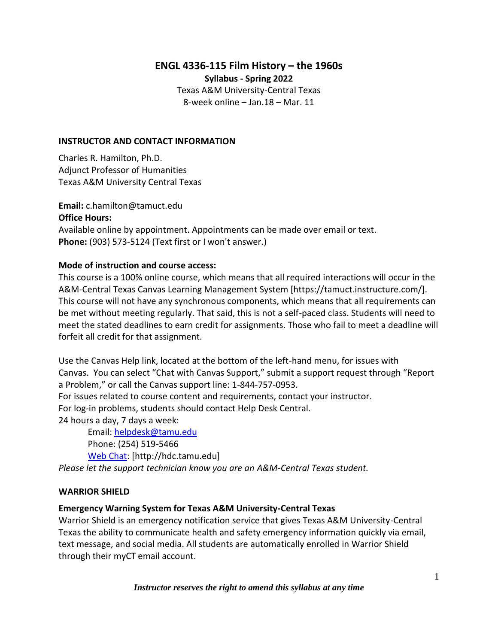# **ENGL 4336-115 Film History – the 1960s**

**Syllabus - Spring 2022**

Texas A&M University-Central Texas 8-week online – Jan.18 – Mar. 11

#### **INSTRUCTOR AND CONTACT INFORMATION**

Charles R. Hamilton, Ph.D. Adjunct Professor of Humanities Texas A&M University Central Texas

**Email:** c.hamilton@tamuct.edu **Office Hours:**  Available online by appointment. Appointments can be made over email or text. **Phone:** (903) 573-5124 (Text first or I won't answer.)

#### **Mode of instruction and course access:**

This course is a 100% online course, which means that all required interactions will occur in the A&M-Central Texas Canvas Learning Management System [https://tamuct.instructure.com/]. This course will not have any synchronous components, which means that all requirements can be met without meeting regularly. That said, this is not a self-paced class. Students will need to meet the stated deadlines to earn credit for assignments. Those who fail to meet a deadline will forfeit all credit for that assignment.

Use the Canvas Help link, located at the bottom of the left-hand menu, for issues with Canvas. You can select "Chat with Canvas Support," submit a support request through "Report a Problem," or call the Canvas support line: 1-844-757-0953. For issues related to course content and requirements, contact your instructor. For log-in problems, students should contact Help Desk Central.

24 hours a day, 7 days a week:

Email: [helpdesk@tamu.edu](mailto:helpdesk@tamu.edu) Phone: (254) 519-5466 [Web Chat:](http://hdc.tamu.edu/) [http://hdc.tamu.edu] *Please let the support technician know you are an A&M-Central Texas student.*

#### **WARRIOR SHIELD**

### **Emergency Warning System for Texas A&M University-Central Texas**

Warrior Shield is an emergency notification service that gives Texas A&M University-Central Texas the ability to communicate health and safety emergency information quickly via email, text message, and social media. All students are automatically enrolled in Warrior Shield through their myCT email account.

*Instructor reserves the right to amend this syllabus at any time*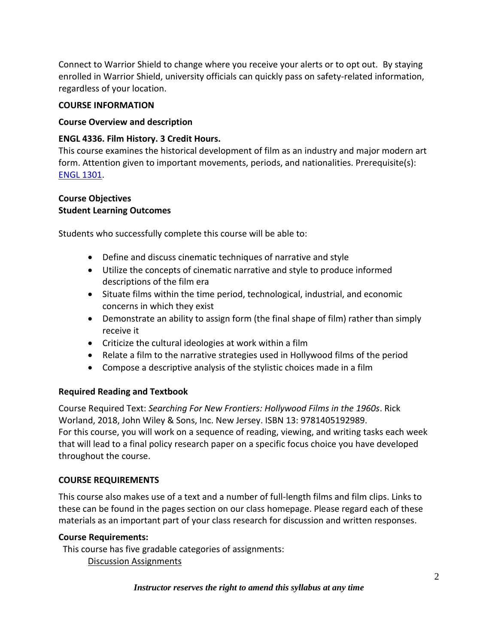Connect to Warrior Shield to change where you receive your alerts or to opt out. By staying enrolled in Warrior Shield, university officials can quickly pass on safety-related information, regardless of your location.

### **COURSE INFORMATION**

### **Course Overview and description**

### **ENGL 4336. Film History. 3 Credit Hours.**

This course examines the historical development of film as an industry and major modern art form. Attention given to important movements, periods, and nationalities. Prerequisite(s): ENGL [1301.](http://catalog.tamuct.edu/search/?P=ENGL%201301)

#### **Course Objectives Student Learning Outcomes**

Students who successfully complete this course will be able to:

- Define and discuss cinematic techniques of narrative and style
- Utilize the concepts of cinematic narrative and style to produce informed descriptions of the film era
- Situate films within the time period, technological, industrial, and economic concerns in which they exist
- Demonstrate an ability to assign form (the final shape of film) rather than simply receive it
- Criticize the cultural ideologies at work within a film
- Relate a film to the narrative strategies used in Hollywood films of the period
- Compose a descriptive analysis of the stylistic choices made in a film

# **Required Reading and Textbook**

Course Required Text: *Searching For New Frontiers: Hollywood Films in the 1960s*. Rick Worland, 2018, John Wiley & Sons, Inc. New Jersey. ISBN 13: 9781405192989. For this course, you will work on a sequence of reading, viewing, and writing tasks each week that will lead to a final policy research paper on a specific focus choice you have developed throughout the course.

# **COURSE REQUIREMENTS**

This course also makes use of a text and a number of full-length films and film clips. Links to these can be found in the pages section on our class homepage. Please regard each of these materials as an important part of your class research for discussion and written responses.

### **Course Requirements:**

This course has five gradable categories of assignments:

Discussion Assignments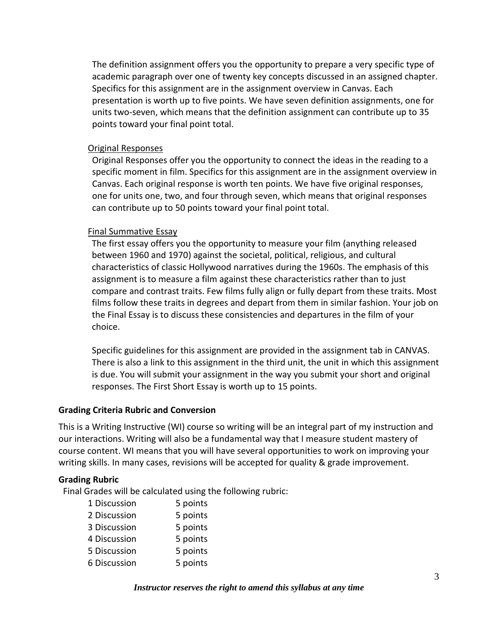The definition assignment offers you the opportunity to prepare a very specific type of academic paragraph over one of twenty key concepts discussed in an assigned chapter. Specifics for this assignment are in the assignment overview in Canvas. Each presentation is worth up to five points. We have seven definition assignments, one for units two-seven, which means that the definition assignment can contribute up to 35 points toward your final point total.

### Original Responses

Original Responses offer you the opportunity to connect the ideas in the reading to a specific moment in film. Specifics for this assignment are in the assignment overview in Canvas. Each original response is worth ten points. We have five original responses, one for units one, two, and four through seven, which means that original responses can contribute up to 50 points toward your final point total.

#### Final Summative Essay

The first essay offers you the opportunity to measure your film (anything released between 1960 and 1970) against the societal, political, religious, and cultural characteristics of classic Hollywood narratives during the 1960s. The emphasis of this assignment is to measure a film against these characteristics rather than to just compare and contrast traits. Few films fully align or fully depart from these traits. Most films follow these traits in degrees and depart from them in similar fashion. Your job on the Final Essay is to discuss these consistencies and departures in the film of your choice.

Specific guidelines for this assignment are provided in the assignment tab in CANVAS. There is also a link to this assignment in the third unit, the unit in which this assignment is due. You will submit your assignment in the way you submit your short and original responses. The First Short Essay is worth up to 15 points.

#### **Grading Criteria Rubric and Conversion**

This is a Writing Instructive (WI) course so writing will be an integral part of my instruction and our interactions. Writing will also be a fundamental way that I measure student mastery of course content. WI means that you will have several opportunities to work on improving your writing skills. In many cases, revisions will be accepted for quality & grade improvement.

#### **Grading Rubric**

Final Grades will be calculated using the following rubric:

| 5 points |
|----------|
| 5 points |
| 5 points |
| 5 points |
| 5 points |
| 5 points |
|          |

*Instructor reserves the right to amend this syllabus at any time*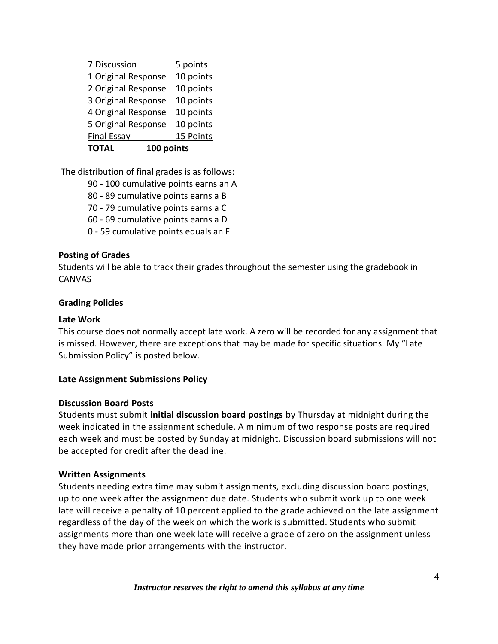| 7 Discussion               | 5 points  |
|----------------------------|-----------|
| 1 Original Response        | 10 points |
| 2 Original Response        | 10 points |
| 3 Original Response        | 10 points |
| 4 Original Response        | 10 points |
| 5 Original Response        | 10 points |
| <b>Final Essay</b>         | 15 Points |
| 100 points<br><b>TOTAL</b> |           |

The distribution of final grades is as follows:

- 90 100 cumulative points earns an A
- 80 89 cumulative points earns a B
- 70 79 cumulative points earns a C
- 60 69 cumulative points earns a D
- 0 59 cumulative points equals an F

# **Posting of Grades**

Students will be able to track their grades throughout the semester using the gradebook in CANVAS

# **Grading Policies**

# **Late Work**

This course does not normally accept late work. A zero will be recorded for any assignment that is missed. However, there are exceptions that may be made for specific situations. My "Late Submission Policy" is posted below.

# **Late Assignment Submissions Policy**

# **Discussion Board Posts**

Students must submit **initial discussion board postings** by Thursday at midnight during the week indicated in the assignment schedule. A minimum of two response posts are required each week and must be posted by Sunday at midnight. Discussion board submissions will not be accepted for credit after the deadline.

# **Written Assignments**

Students needing extra time may submit assignments, excluding discussion board postings, up to one week after the assignment due date. Students who submit work up to one week late will receive a penalty of 10 percent applied to the grade achieved on the late assignment regardless of the day of the week on which the work is submitted. Students who submit assignments more than one week late will receive a grade of zero on the assignment unless they have made prior arrangements with the instructor.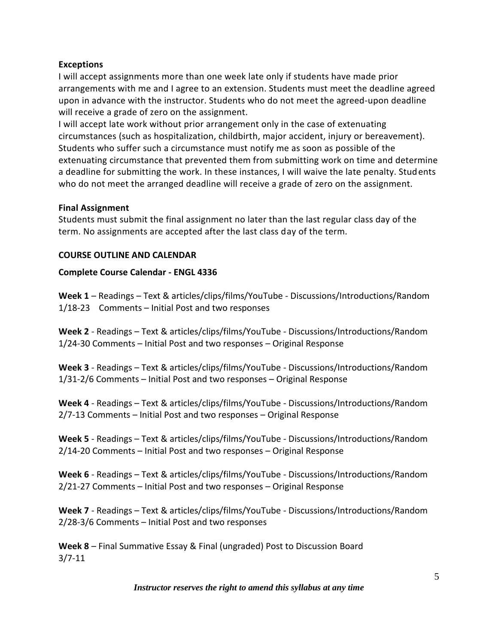### **Exceptions**

I will accept assignments more than one week late only if students have made prior arrangements with me and I agree to an extension. Students must meet the deadline agreed upon in advance with the instructor. Students who do not meet the agreed-upon deadline will receive a grade of zero on the assignment.

I will accept late work without prior arrangement only in the case of extenuating circumstances (such as hospitalization, childbirth, major accident, injury or bereavement). Students who suffer such a circumstance must notify me as soon as possible of the extenuating circumstance that prevented them from submitting work on time and determine a deadline for submitting the work. In these instances, I will waive the late penalty. Students who do not meet the arranged deadline will receive a grade of zero on the assignment.

### **Final Assignment**

Students must submit the final assignment no later than the last regular class day of the term. No assignments are accepted after the last class day of the term.

### **COURSE OUTLINE AND CALENDAR**

### **Complete Course Calendar - ENGL 4336**

**Week 1** – Readings – Text & articles/clips/films/YouTube - Discussions/Introductions/Random 1/18-23 Comments – Initial Post and two responses

**Week 2** - Readings – Text & articles/clips/films/YouTube - Discussions/Introductions/Random 1/24-30 Comments – Initial Post and two responses – Original Response

**Week 3** - Readings – Text & articles/clips/films/YouTube - Discussions/Introductions/Random 1/31-2/6 Comments – Initial Post and two responses – Original Response

**Week 4** - Readings – Text & articles/clips/films/YouTube - Discussions/Introductions/Random 2/7-13 Comments – Initial Post and two responses – Original Response

**Week 5** - Readings – Text & articles/clips/films/YouTube - Discussions/Introductions/Random 2/14-20 Comments – Initial Post and two responses – Original Response

**Week 6** - Readings – Text & articles/clips/films/YouTube - Discussions/Introductions/Random 2/21-27 Comments – Initial Post and two responses – Original Response

**Week 7** - Readings – Text & articles/clips/films/YouTube - Discussions/Introductions/Random 2/28-3/6 Comments – Initial Post and two responses

**Week 8** – Final Summative Essay & Final (ungraded) Post to Discussion Board 3/7-11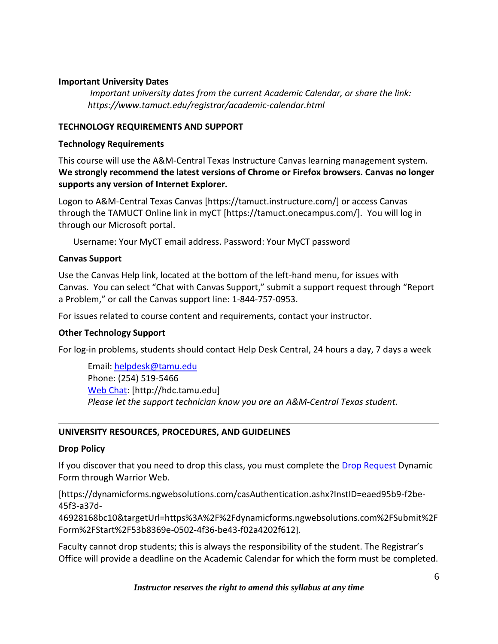### **Important University Dates**

*Important university dates from the current Academic Calendar, or share the link: https://www.tamuct.edu/registrar/academic-calendar.html*

#### **TECHNOLOGY REQUIREMENTS AND SUPPORT**

#### **Technology Requirements**

This course will use the A&M-Central Texas Instructure Canvas learning management system. **We strongly recommend the latest versions of Chrome or Firefox browsers. Canvas no longer supports any version of Internet Explorer.**

Logon to A&M-Central Texas Canvas [https://tamuct.instructure.com/] or access Canvas through the TAMUCT Online link in myCT [https://tamuct.onecampus.com/]. You will log in through our Microsoft portal.

Username: Your MyCT email address. Password: Your MyCT password

#### **Canvas Support**

Use the Canvas Help link, located at the bottom of the left-hand menu, for issues with Canvas. You can select "Chat with Canvas Support," submit a support request through "Report a Problem," or call the Canvas support line: 1-844-757-0953.

For issues related to course content and requirements, contact your instructor.

### **Other Technology Support**

For log-in problems, students should contact Help Desk Central, 24 hours a day, 7 days a week

Email: [helpdesk@tamu.edu](mailto:helpdesk@tamu.edu) Phone: (254) 519-5466 [Web Chat:](http://hdc.tamu.edu/) [http://hdc.tamu.edu] *Please let the support technician know you are an A&M-Central Texas student.*

### **UNIVERSITY RESOURCES, PROCEDURES, AND GUIDELINES**

#### **Drop Policy**

If you discover that you need to drop this class, you must complete the [Drop Request](https://dynamicforms.ngwebsolutions.com/casAuthentication.ashx?InstID=eaed95b9-f2be-45f3-a37d-46928168bc10&targetUrl=https%3A%2F%2Fdynamicforms.ngwebsolutions.com%2FSubmit%2FForm%2FStart%2F53b8369e-0502-4f36-be43-f02a4202f612) Dynamic Form through Warrior Web.

[https://dynamicforms.ngwebsolutions.com/casAuthentication.ashx?InstID=eaed95b9-f2be-45f3-a37d-

46928168bc10&targetUrl=https%3A%2F%2Fdynamicforms.ngwebsolutions.com%2FSubmit%2F Form%2FStart%2F53b8369e-0502-4f36-be43-f02a4202f612].

Faculty cannot drop students; this is always the responsibility of the student. The Registrar's Office will provide a deadline on the Academic Calendar for which the form must be completed.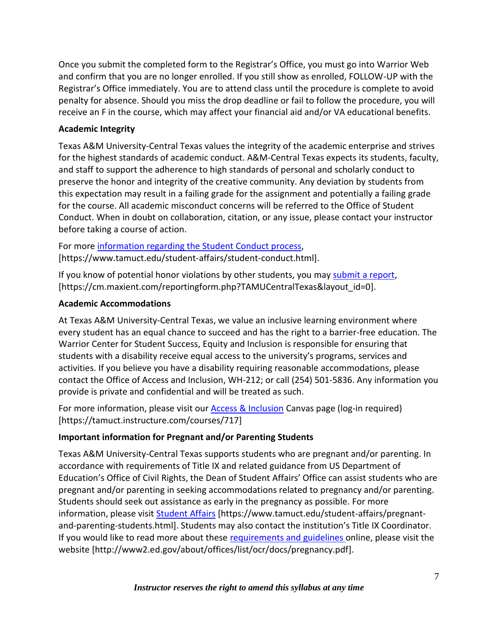Once you submit the completed form to the Registrar's Office, you must go into Warrior Web and confirm that you are no longer enrolled. If you still show as enrolled, FOLLOW-UP with the Registrar's Office immediately. You are to attend class until the procedure is complete to avoid penalty for absence. Should you miss the drop deadline or fail to follow the procedure, you will receive an F in the course, which may affect your financial aid and/or VA educational benefits.

# **Academic Integrity**

Texas A&M University-Central Texas values the integrity of the academic enterprise and strives for the highest standards of academic conduct. A&M-Central Texas expects its students, faculty, and staff to support the adherence to high standards of personal and scholarly conduct to preserve the honor and integrity of the creative community. Any deviation by students from this expectation may result in a failing grade for the assignment and potentially a failing grade for the course. All academic misconduct concerns will be referred to the Office of Student Conduct. When in doubt on collaboration, citation, or any issue, please contact your instructor before taking a course of action.

For more [information](https://nam04.safelinks.protection.outlook.com/?url=https%3A%2F%2Fwww.tamuct.edu%2Fstudent-affairs%2Fstudent-conduct.html&data=04%7C01%7Clisa.bunkowski%40tamuct.edu%7Ccfb6e486f24745f53e1a08d910055cb2%7C9eed4e3000f744849ff193ad8005acec%7C0%7C0%7C637558437485252160%7CUnknown%7CTWFpbGZsb3d8eyJWIjoiMC4wLjAwMDAiLCJQIjoiV2luMzIiLCJBTiI6Ik1haWwiLCJXVCI6Mn0%3D%7C1000&sdata=yjftDEVHvLX%2FhM%2FcFU0B99krV1RgEWR%2BJ%2BhvtoR6TYk%3D&reserved=0) regarding the Student Conduct process, [https://www.tamuct.edu/student-affairs/student-conduct.html].

If you know of potential honor violations by other students, you may [submit](https://nam04.safelinks.protection.outlook.com/?url=https%3A%2F%2Fcm.maxient.com%2Freportingform.php%3FTAMUCentralTexas%26layout_id%3D0&data=04%7C01%7Clisa.bunkowski%40tamuct.edu%7Ccfb6e486f24745f53e1a08d910055cb2%7C9eed4e3000f744849ff193ad8005acec%7C0%7C0%7C637558437485262157%7CUnknown%7CTWFpbGZsb3d8eyJWIjoiMC4wLjAwMDAiLCJQIjoiV2luMzIiLCJBTiI6Ik1haWwiLCJXVCI6Mn0%3D%7C1000&sdata=CXGkOa6uPDPX1IMZ87z3aZDq2n91xfHKu4MMS43Ejjk%3D&reserved=0) a report, [https://cm.maxient.com/reportingform.php?TAMUCentralTexas&layout\_id=0].

# **Academic Accommodations**

At Texas A&M University-Central Texas, we value an inclusive learning environment where every student has an equal chance to succeed and has the right to a barrier-free education. The Warrior Center for Student Success, Equity and Inclusion is responsible for ensuring that students with a disability receive equal access to the university's programs, services and activities. If you believe you have a disability requiring reasonable accommodations, please contact the Office of Access and Inclusion, WH-212; or call (254) 501-5836. Any information you provide is private and confidential and will be treated as such.

For more information, please visit our **Access & Inclusion** Canvas page (log-in required) [https://tamuct.instructure.com/courses/717]

# **Important information for Pregnant and/or Parenting Students**

Texas A&M University-Central Texas supports students who are pregnant and/or parenting. In accordance with requirements of Title IX and related guidance from US Department of Education's Office of Civil Rights, the Dean of Student Affairs' Office can assist students who are pregnant and/or parenting in seeking accommodations related to pregnancy and/or parenting. Students should seek out assistance as early in the pregnancy as possible. For more information, please visit [Student Affairs](https://www.tamuct.edu/student-affairs/pregnant-and-parenting-students.html) [https://www.tamuct.edu/student-affairs/pregnantand-parenting-students.html]. Students may also contact the institution's Title IX Coordinator. If you would like to read more about these [requirements and guidelines](http://www2.ed.gov/about/offices/list/ocr/docs/pregnancy.pdf) online, please visit the website [http://www2.ed.gov/about/offices/list/ocr/docs/pregnancy.pdf].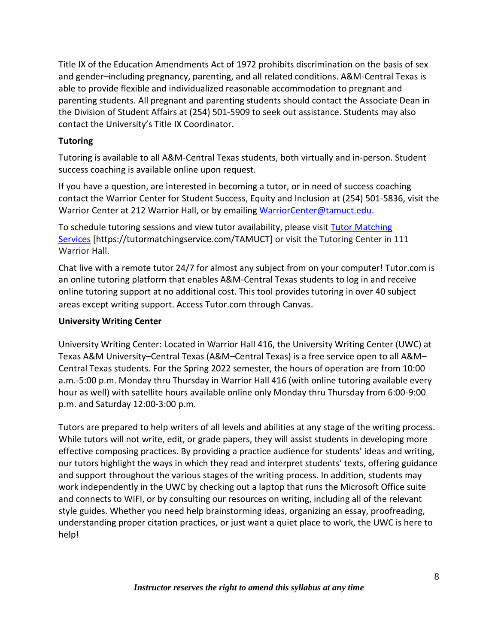Title IX of the Education Amendments Act of 1972 prohibits discrimination on the basis of sex and gender–including pregnancy, parenting, and all related conditions. A&M-Central Texas is able to provide flexible and individualized reasonable accommodation to pregnant and parenting students. All pregnant and parenting students should contact the Associate Dean in the Division of Student Affairs at (254) 501-5909 to seek out assistance. Students may also contact the University's Title IX Coordinator.

# **Tutoring**

Tutoring is available to all A&M-Central Texas students, both virtually and in-person. Student success coaching is available online upon request.

If you have a question, are interested in becoming a tutor, or in need of success coaching contact the Warrior Center for Student Success, Equity and Inclusion at (254) 501-5836, visit the Warrior Center at 212 Warrior Hall, or by emailing [WarriorCenter@tamuct.edu.](mailto:WarriorCenter@tamuct.edu)

To schedule tutoring sessions and view tutor availability, please visit Tutor [Matching](https://nam04.safelinks.protection.outlook.com/?url=http%3A%2F%2Fwww.tutormatchingservices.com%2FTAMUCT&data=04%7C01%7Clisa.bunkowski%40tamuct.edu%7C886784139069461670c308d9aa01f55e%7C9eed4e3000f744849ff193ad8005acec%7C0%7C0%7C637727747643427346%7CUnknown%7CTWFpbGZsb3d8eyJWIjoiMC4wLjAwMDAiLCJQIjoiV2luMzIiLCJBTiI6Ik1haWwiLCJXVCI6Mn0%3D%7C3000&sdata=D%2F8HN2bUT1lLPfs5qSqKYlwh8a7pZVy7isM2gppluQE%3D&reserved=0) [Services](https://nam04.safelinks.protection.outlook.com/?url=http%3A%2F%2Fwww.tutormatchingservices.com%2FTAMUCT&data=04%7C01%7Clisa.bunkowski%40tamuct.edu%7C886784139069461670c308d9aa01f55e%7C9eed4e3000f744849ff193ad8005acec%7C0%7C0%7C637727747643427346%7CUnknown%7CTWFpbGZsb3d8eyJWIjoiMC4wLjAwMDAiLCJQIjoiV2luMzIiLCJBTiI6Ik1haWwiLCJXVCI6Mn0%3D%7C3000&sdata=D%2F8HN2bUT1lLPfs5qSqKYlwh8a7pZVy7isM2gppluQE%3D&reserved=0) [https://tutormatchingservice.com/TAMUCT] or visit the Tutoring Center in 111 Warrior Hall.

Chat live with a remote tutor 24/7 for almost any subject from on your computer! Tutor.com is an online tutoring platform that enables A&M-Central Texas students to log in and receive online tutoring support at no additional cost. This tool provides tutoring in over 40 subject areas except writing support. Access Tutor.com through Canvas.

# **University Writing Center**

University Writing Center: Located in Warrior Hall 416, the University Writing Center (UWC) at Texas A&M University–Central Texas (A&M–Central Texas) is a free service open to all A&M– Central Texas students. For the Spring 2022 semester, the hours of operation are from 10:00 a.m.-5:00 p.m. Monday thru Thursday in Warrior Hall 416 (with online tutoring available every hour as well) with satellite hours available online only Monday thru Thursday from 6:00-9:00 p.m. and Saturday 12:00-3:00 p.m.

Tutors are prepared to help writers of all levels and abilities at any stage of the writing process. While tutors will not write, edit, or grade papers, they will assist students in developing more effective composing practices. By providing a practice audience for students' ideas and writing, our tutors highlight the ways in which they read and interpret students' texts, offering guidance and support throughout the various stages of the writing process. In addition, students may work independently in the UWC by checking out a laptop that runs the Microsoft Office suite and connects to WIFI, or by consulting our resources on writing, including all of the relevant style guides. Whether you need help brainstorming ideas, organizing an essay, proofreading, understanding proper citation practices, or just want a quiet place to work, the UWC is here to help!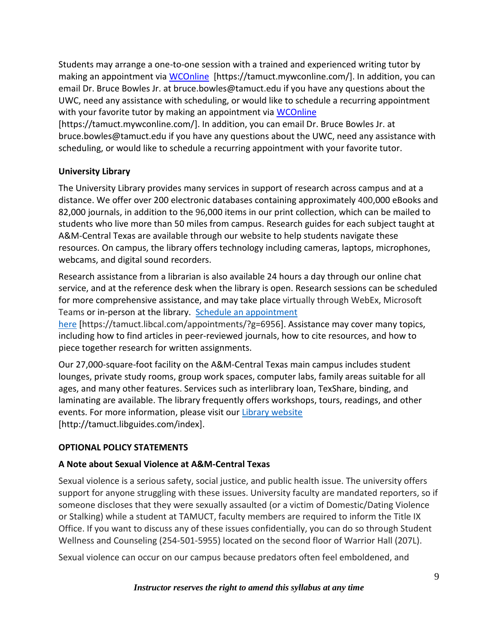Students may arrange a one-to-one session with a trained and experienced writing tutor by making an appointment via [WCOnline](https://tamuct.mywconline.com/) [https://tamuct.mywconline.com/]. In addition, you can email Dr. Bruce Bowles Jr. at bruce.bowles@tamuct.edu if you have any questions about the UWC, need any assistance with scheduling, or would like to schedule a recurring appointment with your favorite tutor by making an appointment via [WCOnline](https://tamuct.mywconline.com/)

[https://tamuct.mywconline.com/]. In addition, you can email Dr. Bruce Bowles Jr. at bruce.bowles@tamuct.edu if you have any questions about the UWC, need any assistance with scheduling, or would like to schedule a recurring appointment with your favorite tutor.

# **University Library**

The University Library provides many services in support of research across campus and at a distance. We offer over 200 electronic databases containing approximately 400,000 eBooks and 82,000 journals, in addition to the 96,000 items in our print collection, which can be mailed to students who live more than 50 miles from campus. Research guides for each subject taught at A&M-Central Texas are available through our website to help students navigate these resources. On campus, the library offers technology including cameras, laptops, microphones, webcams, and digital sound recorders.

Research assistance from a librarian is also available 24 hours a day through our online chat service, and at the reference desk when the library is open. Research sessions can be scheduled for more comprehensive assistance, and may take place virtually through WebEx, Microsoft Teams or in-person at the library. Schedule an [appointment](https://nam04.safelinks.protection.outlook.com/?url=https%3A%2F%2Ftamuct.libcal.com%2Fappointments%2F%3Fg%3D6956&data=04%7C01%7Clisa.bunkowski%40tamuct.edu%7Cde2c07d9f5804f09518008d9ab7ba6ff%7C9eed4e3000f744849ff193ad8005acec%7C0%7C0%7C637729369835011558%7CUnknown%7CTWFpbGZsb3d8eyJWIjoiMC4wLjAwMDAiLCJQIjoiV2luMzIiLCJBTiI6Ik1haWwiLCJXVCI6Mn0%3D%7C3000&sdata=KhtjgRSAw9aq%2FoBsB6wyu8b7PSuGN5EGPypzr3Ty2No%3D&reserved=0)

[here](https://nam04.safelinks.protection.outlook.com/?url=https%3A%2F%2Ftamuct.libcal.com%2Fappointments%2F%3Fg%3D6956&data=04%7C01%7Clisa.bunkowski%40tamuct.edu%7Cde2c07d9f5804f09518008d9ab7ba6ff%7C9eed4e3000f744849ff193ad8005acec%7C0%7C0%7C637729369835011558%7CUnknown%7CTWFpbGZsb3d8eyJWIjoiMC4wLjAwMDAiLCJQIjoiV2luMzIiLCJBTiI6Ik1haWwiLCJXVCI6Mn0%3D%7C3000&sdata=KhtjgRSAw9aq%2FoBsB6wyu8b7PSuGN5EGPypzr3Ty2No%3D&reserved=0) [https://tamuct.libcal.com/appointments/?g=6956]. Assistance may cover many topics, including how to find articles in peer-reviewed journals, how to cite resources, and how to piece together research for written assignments.

Our 27,000-square-foot facility on the A&M-Central Texas main campus includes student lounges, private study rooms, group work spaces, computer labs, family areas suitable for all ages, and many other features. Services such as interlibrary loan, TexShare, binding, and laminating are available. The library frequently offers workshops, tours, readings, and other events. For more information, please visit our Library [website](https://nam04.safelinks.protection.outlook.com/?url=https%3A%2F%2Ftamuct.libguides.com%2Findex&data=04%7C01%7Clisa.bunkowski%40tamuct.edu%7C7d8489e8839a4915335f08d916f067f2%7C9eed4e3000f744849ff193ad8005acec%7C0%7C0%7C637566044056484222%7CUnknown%7CTWFpbGZsb3d8eyJWIjoiMC4wLjAwMDAiLCJQIjoiV2luMzIiLCJBTiI6Ik1haWwiLCJXVCI6Mn0%3D%7C1000&sdata=2R755V6rcIyedGrd4Os5rkgn1PvhHKU3kUV1vBKiHFo%3D&reserved=0) [http://tamuct.libguides.com/index].

# **OPTIONAL POLICY STATEMENTS**

# **A Note about Sexual Violence at A&M-Central Texas**

Sexual violence is a serious safety, social justice, and public health issue. The university offers support for anyone struggling with these issues. University faculty are mandated reporters, so if someone discloses that they were sexually assaulted (or a victim of Domestic/Dating Violence or Stalking) while a student at TAMUCT, faculty members are required to inform the Title IX Office. If you want to discuss any of these issues confidentially, you can do so through Student Wellness and Counseling (254-501-5955) located on the second floor of Warrior Hall (207L).

Sexual violence can occur on our campus because predators often feel emboldened, and